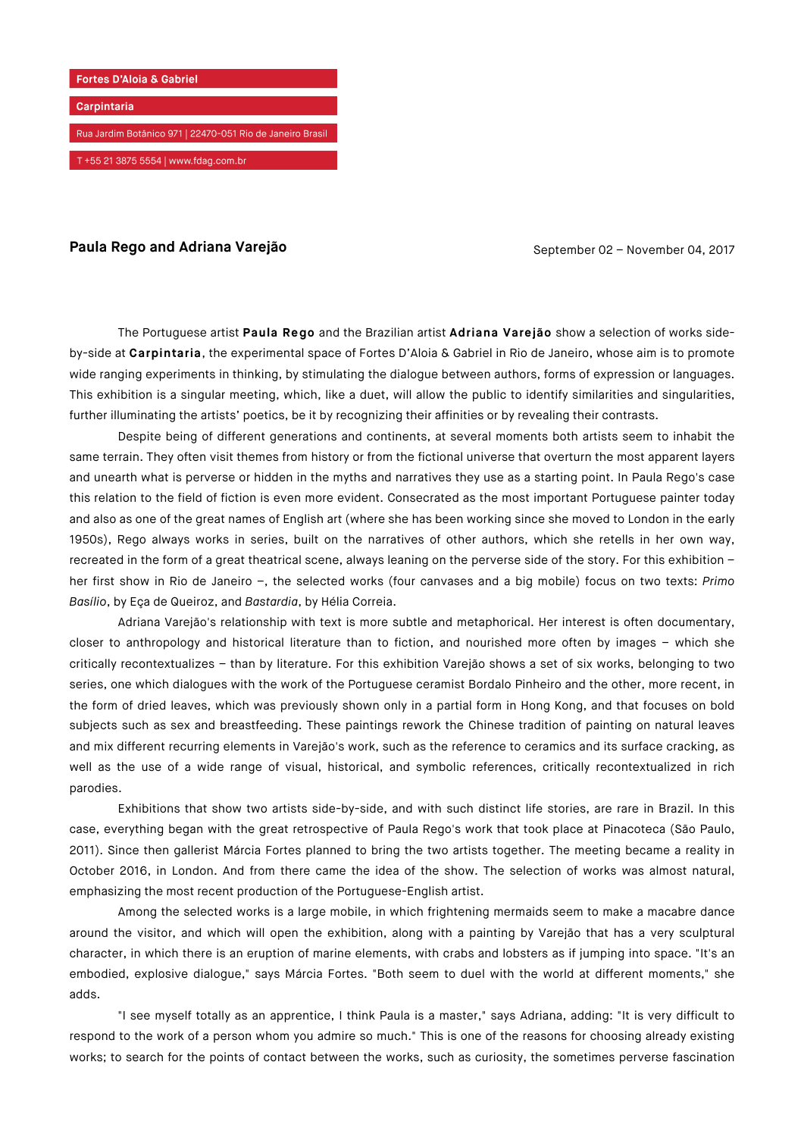

## **Paula Rego and Adriana Varejão** September 02 – November 04, 2017

The Portuguese artist **Paula Rego** and the Brazilian artist **Adriana Varejão** show a selection of works sideby-side at **Carpintaria**, the experimental space of Fortes D'Aloia & Gabriel in Rio de Janeiro, whose aim is to promote wide ranging experiments in thinking, by stimulating the dialogue between authors, forms of expression or languages. This exhibition is a singular meeting, which, like a duet, will allow the public to identify similarities and singularities, further illuminating the artists' poetics, be it by recognizing their affinities or by revealing their contrasts.

Despite being of different generations and continents, at several moments both artists seem to inhabit the same terrain. They often visit themes from history or from the fictional universe that overturn the most apparent layers and unearth what is perverse or hidden in the myths and narratives they use as a starting point. In Paula Rego's case this relation to the field of fiction is even more evident. Consecrated as the most important Portuguese painter today and also as one of the great names of English art (where she has been working since she moved to London in the early 1950s), Rego always works in series, built on the narratives of other authors, which she retells in her own way, recreated in the form of a great theatrical scene, always leaning on the perverse side of the story. For this exhibition – her first show in Rio de Janeiro –, the selected works (four canvases and a big mobile) focus on two texts: *Primo Basílio*, by Eça de Queiroz, and *Bastardia*, by Hélia Correia.

Adriana Varejão's relationship with text is more subtle and metaphorical. Her interest is often documentary, closer to anthropology and historical literature than to fiction, and nourished more often by images – which she critically recontextualizes – than by literature. For this exhibition Varejão shows a set of six works, belonging to two series, one which dialogues with the work of the Portuguese ceramist Bordalo Pinheiro and the other, more recent, in the form of dried leaves, which was previously shown only in a partial form in Hong Kong, and that focuses on bold subjects such as sex and breastfeeding. These paintings rework the Chinese tradition of painting on natural leaves and mix different recurring elements in Varejão's work, such as the reference to ceramics and its surface cracking, as well as the use of a wide range of visual, historical, and symbolic references, critically recontextualized in rich parodies.

Exhibitions that show two artists side-by-side, and with such distinct life stories, are rare in Brazil. In this case, everything began with the great retrospective of Paula Rego's work that took place at Pinacoteca (São Paulo, 2011). Since then gallerist Márcia Fortes planned to bring the two artists together. The meeting became a reality in October 2016, in London. And from there came the idea of the show. The selection of works was almost natural, emphasizing the most recent production of the Portuguese-English artist.

Among the selected works is a large mobile, in which frightening mermaids seem to make a macabre dance around the visitor, and which will open the exhibition, along with a painting by Varejão that has a very sculptural character, in which there is an eruption of marine elements, with crabs and lobsters as if jumping into space. "It's an embodied, explosive dialogue," says Márcia Fortes. "Both seem to duel with the world at different moments," she adds.

"I see myself totally as an apprentice, I think Paula is a master," says Adriana, adding: "It is very difficult to respond to the work of a person whom you admire so much." This is one of the reasons for choosing already existing works; to search for the points of contact between the works, such as curiosity, the sometimes perverse fascination